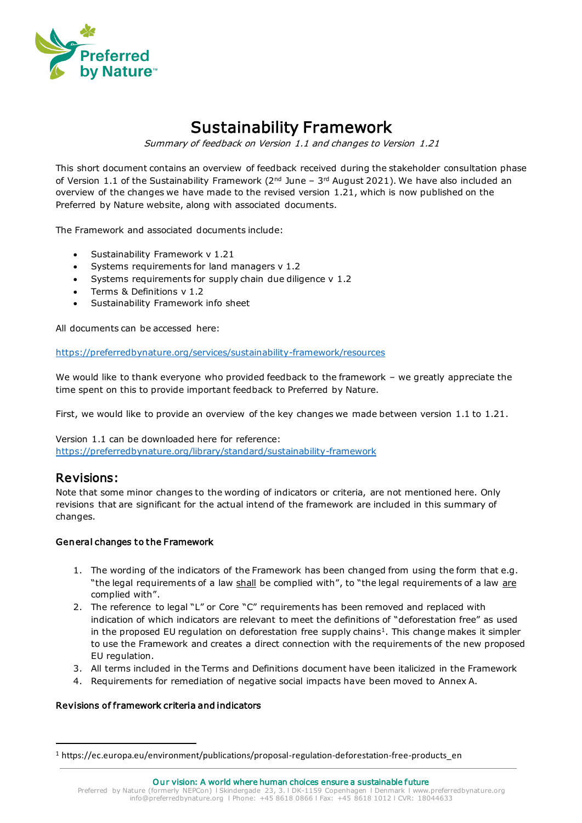

# Sustainability Framework

Summary of feedback on Version 1.1 and changes to Version 1.21

This short document contains an overview of feedback received during the stakeholder consultation phase of Version 1.1 of the Sustainability Framework (2 $^{\text{nd}}$  June – 3<sup>rd</sup> August 2021). We have also included an overview of the changes we have made to the revised version 1.21, which is now published on the Preferred by Nature website, along with associated documents.

The Framework and associated documents include:

- Sustainability Framework v 1.21
- Systems requirements for land managers v 1.2
- Systems requirements for supply chain due diligence v 1.2
- Terms & Definitions v 1.2
- Sustainability Framework info sheet

All documents can be accessed here:

https://preferredbynature.org/services/sustainability-framework/resources

We would like to thank everyone who provided feedback to the framework - we greatly appreciate the time spent on this to provide important feedback to Preferred by Nature.

First, we would like to provide an overview of the key changes we made between version 1.1 to 1.21.

Version 1.1 can be downloaded here for reference: https://preferredbynature.org/library/standard/sustainability-framework

### Revisions:

Note that some minor changes to the wording of indicators or criteria, are not mentioned here. Only revisions that are significant for the actual intend of the framework are included in this summary of changes.

#### General changes to the Framework

- 1. The wording of the indicators of the Framework has been changed from using the form that e.g. "the legal requirements of a law shall be complied with", to "the legal requirements of a law are complied with".
- 2. The reference to legal "L" or Core "C" requirements has been removed and replaced with indication of which indicators are relevant to meet the definitions of "deforestation free" as used in the proposed EU regulation on deforestation free supply chains<sup>1</sup>. This change makes it simpler to use the Framework and creates a direct connection with the requirements of the new proposed EU regulation.
- 3. All terms included in the Terms and Definitions document have been italicized in the Framework
- 4. Requirements for remediation of negative social impacts have been moved to Annex A.

#### Revisions of framework criteria and indicators

<sup>1</sup> https://ec.europa.eu/environment/publications/proposal-regulation-deforestation-free-products\_en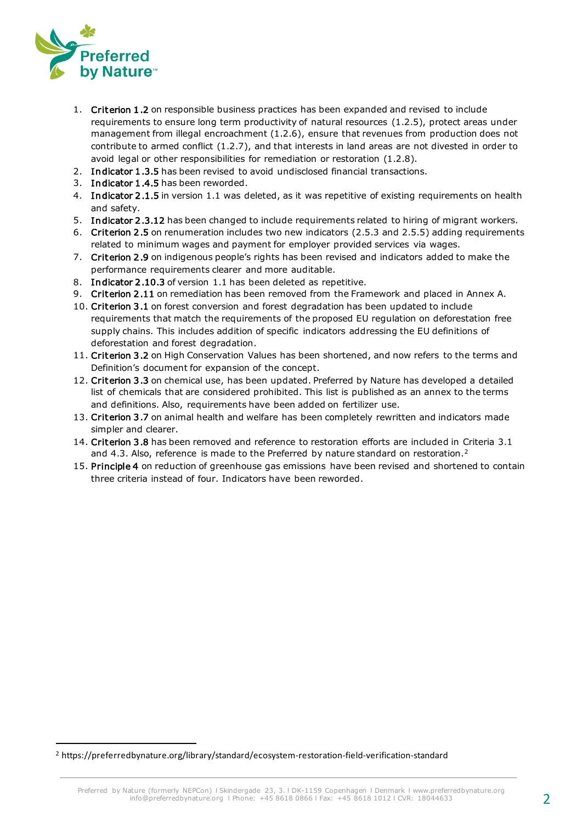

- 1. Criterion 1.2 on responsible business practices has been expanded and revised to include requirements to ensure long term productivity of natural resources (1.2.5), protect areas under management from illegal encroachment (1.2.6), ensure that revenues from production does not contribute to armed conflict (1.2.7), and that interests in land areas are not divested in order to avoid legal or other responsibilities for remediation or restoration (1.2.8).
- 2. Indicator 1.3.5 has been revised to avoid undisclosed financial transactions.
- 3. Indicator 1.4.5 has been reworded.
- 4. Indicator 2.1.5 in version 1.1 was deleted, as it was repetitive of existing requirements on health and safety.
- 5. Indicator 2.3.12 has been changed to include requirements related to hiring of migrant workers.
- 6. Criterion 2 .5 on renumeration includes two new indicators (2.5.3 and 2.5.5) adding requirements related to minimum wages and payment for employer provided services via wages.
- 7. Criterion 2 .9 on indigenous people's rights has been revised and indicators added to make the performance requirements clearer and more auditable.
- 8. Indicator 2.10.3 of version 1.1 has been deleted as repetitive.
- 9. Criterion 2.11 on remediation has been removed from the Framework and placed in Annex A.
- 10. Criterion 3 .1 on forest conversion and forest degradation has been updated to include requirements that match the requirements of the proposed EU regulation on deforestation free supply chains. This includes addition of specific indicators addressing the EU definitions of deforestation and forest degradation.
- 11. Criterion 3.2 on High Conservation Values has been shortened, and now refers to the terms and Definition's document for expansion of the concept.
- 12. Criterion 3 .3 on chemical use, has been updated. Preferred by Nature has developed a detailed list of chemicals that are considered prohibited. This list is published as an annex to the terms and definitions. Also, requirements have been added on fertilizer use.
- 13. Criterion 3.7 on animal health and welfare has been completely rewritten and indicators made simpler and clearer.
- 14. Criterion 3 .8 has been removed and reference to restoration efforts are included in Criteria 3.1 and 4.3. Also, reference is made to the Preferred by nature standard on restoration.<sup>2</sup>
- 15. Principle 4 on reduction of greenhouse gas emissions have been revised and shortened to contain three criteria instead of four. Indicators have been reworded.

<sup>2</sup> https://preferredbynature.org/library/standard/ecosystem-restoration-field-verification-standard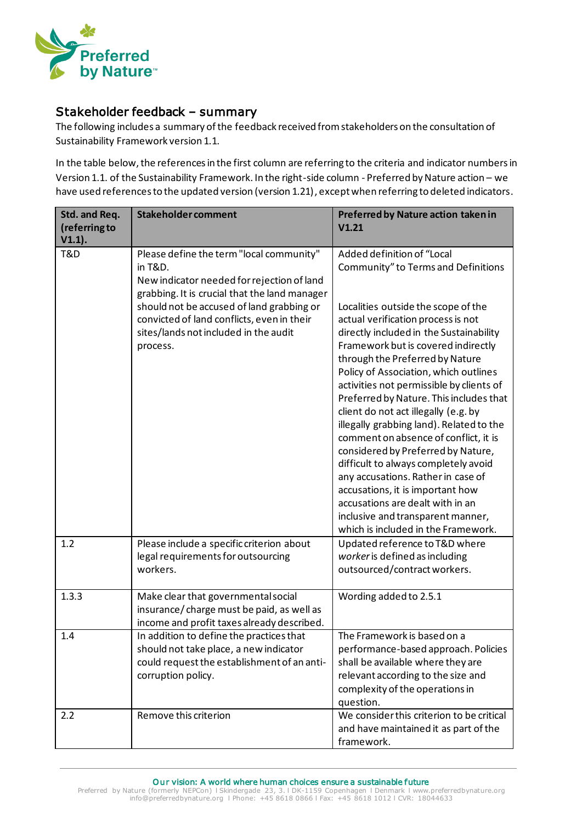

## Stakeholder feedback – summary

The following includes a summary of the feedback received from stakeholders on the consultation of Sustainability Framework version 1.1.

In the table below, the references in the first column are referring to the criteria and indicator numbers in Version 1.1. of the Sustainability Framework. In the right-side column - Preferred by Nature action – we have used references to the updated version (version 1.21), except when referring to deleted indicators.

| Std. and Req.<br>(referring to<br>$V1.1$ ). | <b>Stakeholder comment</b>                                                                                                                                                                                                                                                                         | Preferred by Nature action taken in<br>V1.21                                                                                                                                                                                                                                                                                                                                                                                                                                                                                                                                                                                                                                                                                                                                                             |
|---------------------------------------------|----------------------------------------------------------------------------------------------------------------------------------------------------------------------------------------------------------------------------------------------------------------------------------------------------|----------------------------------------------------------------------------------------------------------------------------------------------------------------------------------------------------------------------------------------------------------------------------------------------------------------------------------------------------------------------------------------------------------------------------------------------------------------------------------------------------------------------------------------------------------------------------------------------------------------------------------------------------------------------------------------------------------------------------------------------------------------------------------------------------------|
| T&D                                         | Please define the term "local community"<br>in T&D.<br>New indicator needed for rejection of land<br>grabbing. It is crucial that the land manager<br>should not be accused of land grabbing or<br>convicted of land conflicts, even in their<br>sites/lands not included in the audit<br>process. | Added definition of "Local<br>Community" to Terms and Definitions<br>Localities outside the scope of the<br>actual verification process is not<br>directly included in the Sustainability<br>Framework but is covered indirectly<br>through the Preferred by Nature<br>Policy of Association, which outlines<br>activities not permissible by clients of<br>Preferred by Nature. This includes that<br>client do not act illegally (e.g. by<br>illegally grabbing land). Related to the<br>comment on absence of conflict, it is<br>considered by Preferred by Nature,<br>difficult to always completely avoid<br>any accusations. Rather in case of<br>accusations, it is important how<br>accusations are dealt with in an<br>inclusive and transparent manner,<br>which is included in the Framework. |
| 1.2                                         | Please include a specific criterion about<br>legal requirements for outsourcing<br>workers.                                                                                                                                                                                                        | Updated reference to T&D where<br>worker is defined as including<br>outsourced/contract workers.                                                                                                                                                                                                                                                                                                                                                                                                                                                                                                                                                                                                                                                                                                         |
| 1.3.3                                       | Make clear that governmental social<br>insurance/charge must be paid, as well as<br>income and profit taxes already described.                                                                                                                                                                     | Wording added to 2.5.1                                                                                                                                                                                                                                                                                                                                                                                                                                                                                                                                                                                                                                                                                                                                                                                   |
| 1.4                                         | In addition to define the practices that<br>should not take place, a new indicator<br>could request the establishment of an anti-<br>corruption policy.                                                                                                                                            | The Framework is based on a<br>performance-based approach. Policies<br>shall be available where they are<br>relevant according to the size and<br>complexity of the operations in<br>question.                                                                                                                                                                                                                                                                                                                                                                                                                                                                                                                                                                                                           |
| 2.2                                         | Remove this criterion                                                                                                                                                                                                                                                                              | We consider this criterion to be critical<br>and have maintained it as part of the<br>framework.                                                                                                                                                                                                                                                                                                                                                                                                                                                                                                                                                                                                                                                                                                         |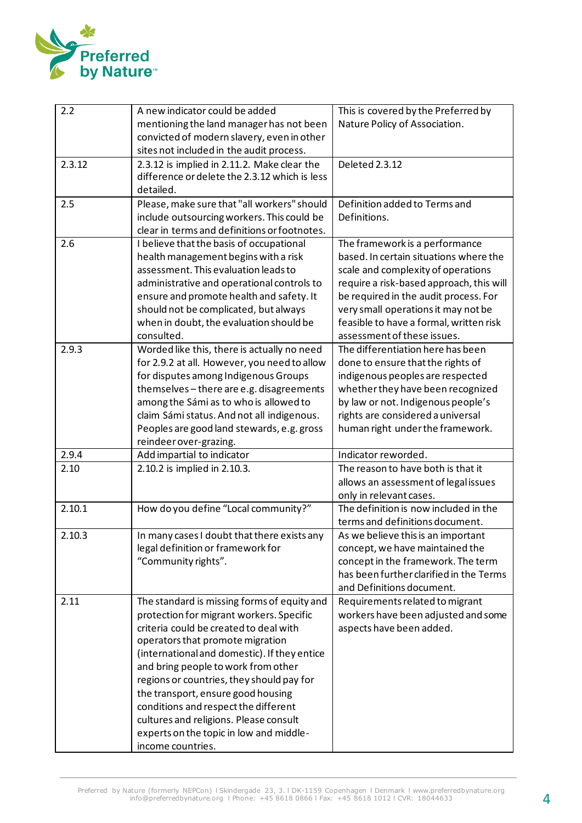

| 2.2           | A new indicator could be added                | This is covered by the Preferred by                       |
|---------------|-----------------------------------------------|-----------------------------------------------------------|
|               | mentioning the land manager has not been      | Nature Policy of Association.                             |
|               | convicted of modern slavery, even in other    |                                                           |
|               | sites not included in the audit process.      |                                                           |
| 2.3.12        | 2.3.12 is implied in 2.11.2. Make clear the   | Deleted 2.3.12                                            |
|               | difference or delete the 2.3.12 which is less |                                                           |
|               | detailed.                                     |                                                           |
| 2.5           | Please, make sure that "all workers" should   | Definition added to Terms and                             |
|               | include outsourcing workers. This could be    | Definitions.                                              |
|               | clear in terms and definitions or footnotes.  |                                                           |
| 2.6           | I believe that the basis of occupational      | The framework is a performance                            |
|               | health management begins with a risk          | based. In certain situations where the                    |
|               | assessment. This evaluation leads to          | scale and complexity of operations                        |
|               | administrative and operational controls to    | require a risk-based approach, this will                  |
|               | ensure and promote health and safety. It      | be required in the audit process. For                     |
|               | should not be complicated, but always         | very small operations it may not be                       |
|               | when in doubt, the evaluation should be       | feasible to have a formal, written risk                   |
|               | consulted.                                    | assessment of these issues.                               |
| 2.9.3         | Worded like this, there is actually no need   | The differentiation here has been                         |
|               | for 2.9.2 at all. However, you need to allow  | done to ensure that the rights of                         |
|               | for disputes among Indigenous Groups          | indigenous peoples are respected                          |
|               | themselves-there are e.g. disagreements       | whether they have been recognized                         |
|               | among the Sámi as to who is allowed to        | by law or not. Indigenous people's                        |
|               | claim Sámi status. And not all indigenous.    | rights are considered a universal                         |
|               | Peoples are good land stewards, e.g. gross    | human right under the framework.                          |
|               | reindeer over-grazing.                        |                                                           |
| 2.9.4<br>2.10 | Add impartial to indicator                    | Indicator reworded.<br>The reason to have both is that it |
|               | 2.10.2 is implied in 2.10.3.                  | allows an assessment of legal issues                      |
|               |                                               | only in relevant cases.                                   |
| 2.10.1        | How do you define "Local community?"          | The definition is now included in the                     |
|               |                                               | terms and definitions document.                           |
| 2.10.3        | In many cases I doubt that there exists any   | As we believe this is an important                        |
|               | legal definition or framework for             | concept, we have maintained the                           |
|               | "Community rights".                           | concept in the framework. The term                        |
|               |                                               | has been further clarified in the Terms                   |
|               |                                               | and Definitions document.                                 |
| 2.11          | The standard is missing forms of equity and   | Requirements related to migrant                           |
|               | protection for migrant workers. Specific      | workers have been adjusted and some                       |
|               | criteria could be created to deal with        | aspects have been added.                                  |
|               | operators that promote migration              |                                                           |
|               | (international and domestic). If they entice  |                                                           |
|               | and bring people to work from other           |                                                           |
|               | regions or countries, they should pay for     |                                                           |
|               | the transport, ensure good housing            |                                                           |
|               | conditions and respect the different          |                                                           |
|               | cultures and religions. Please consult        |                                                           |
|               | experts on the topic in low and middle-       |                                                           |
|               | income countries.                             |                                                           |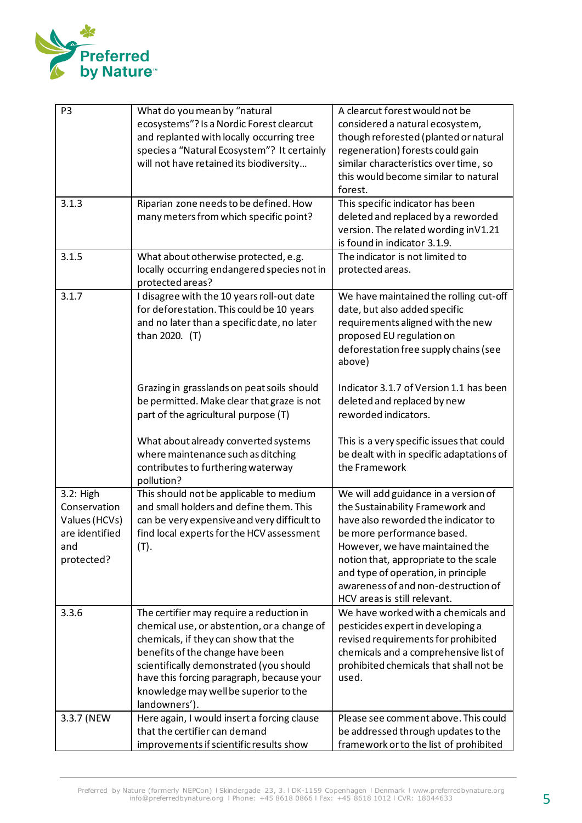

| P <sub>3</sub><br>3.1.3                                                           | What do you mean by "natural<br>ecosystems"? Is a Nordic Forest clearcut<br>and replanted with locally occurring tree<br>species a "Natural Ecosystem"? It certainly<br>will not have retained its biodiversity<br>Riparian zone needs to be defined. How                                                             | A clearcut forest would not be<br>considered a natural ecosystem,<br>though reforested (planted or natural<br>regeneration) forests could gain<br>similar characteristics over time, so<br>this would become similar to natural<br>forest.<br>This specific indicator has been                                                          |
|-----------------------------------------------------------------------------------|-----------------------------------------------------------------------------------------------------------------------------------------------------------------------------------------------------------------------------------------------------------------------------------------------------------------------|-----------------------------------------------------------------------------------------------------------------------------------------------------------------------------------------------------------------------------------------------------------------------------------------------------------------------------------------|
|                                                                                   | many meters from which specific point?                                                                                                                                                                                                                                                                                | deleted and replaced by a reworded<br>version. The related wording in V1.21<br>is found in indicator 3.1.9.                                                                                                                                                                                                                             |
| 3.1.5                                                                             | What about otherwise protected, e.g.<br>locally occurring endangered species not in<br>protected areas?                                                                                                                                                                                                               | The indicator is not limited to<br>protected areas.                                                                                                                                                                                                                                                                                     |
| 3.1.7                                                                             | I disagree with the 10 years roll-out date<br>for deforestation. This could be 10 years<br>and no later than a specific date, no later<br>than 2020. (T)                                                                                                                                                              | We have maintained the rolling cut-off<br>date, but also added specific<br>requirements aligned with the new<br>proposed EU regulation on<br>deforestation free supply chains (see<br>above)                                                                                                                                            |
|                                                                                   | Grazing in grasslands on peat soils should<br>be permitted. Make clear that graze is not<br>part of the agricultural purpose (T)                                                                                                                                                                                      | Indicator 3.1.7 of Version 1.1 has been<br>deleted and replaced by new<br>reworded indicators.                                                                                                                                                                                                                                          |
|                                                                                   | What about already converted systems<br>where maintenance such as ditching<br>contributes to furthering waterway<br>pollution?                                                                                                                                                                                        | This is a very specific issues that could<br>be dealt with in specific adaptations of<br>the Framework                                                                                                                                                                                                                                  |
| 3.2: High<br>Conservation<br>Values (HCVs)<br>are identified<br>and<br>protected? | This should not be applicable to medium<br>and small holders and define them. This<br>can be very expensive and very difficult to<br>find local experts for the HCV assessment<br>(T).                                                                                                                                | We will add guidance in a version of<br>the Sustainability Framework and<br>have also reworded the indicator to<br>be more performance based.<br>However, we have maintained the<br>notion that, appropriate to the scale<br>and type of operation, in principle<br>awareness of and non-destruction of<br>HCV areas is still relevant. |
| 3.3.6                                                                             | The certifier may require a reduction in<br>chemical use, or abstention, or a change of<br>chemicals, if they can show that the<br>benefits of the change have been<br>scientifically demonstrated (you should<br>have this forcing paragraph, because your<br>knowledge may well be superior to the<br>landowners'). | We have worked with a chemicals and<br>pesticides expert in developing a<br>revised requirements for prohibited<br>chemicals and a comprehensive list of<br>prohibited chemicals that shall not be<br>used.                                                                                                                             |
| 3.3.7 (NEW                                                                        | Here again, I would insert a forcing clause<br>that the certifier can demand<br>improvements if scientific results show                                                                                                                                                                                               | Please see comment above. This could<br>be addressed through updates to the<br>framework or to the list of prohibited                                                                                                                                                                                                                   |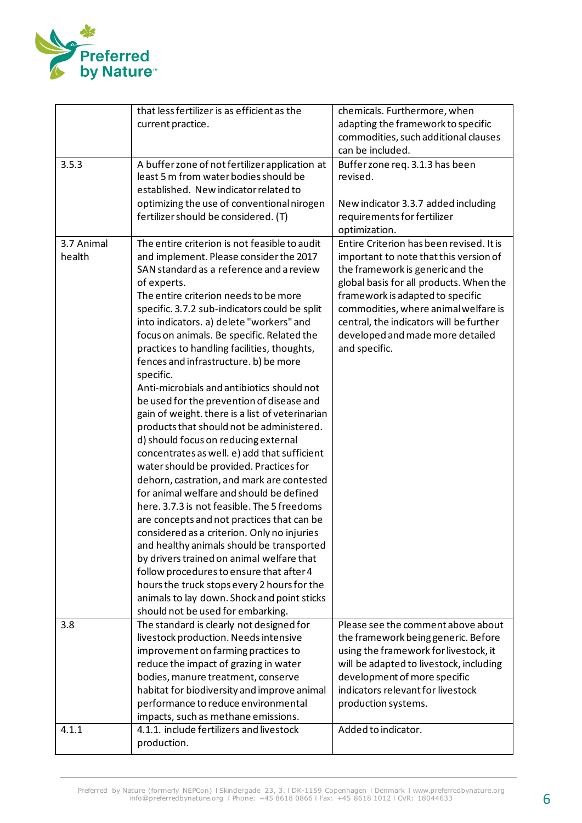

|            | that less fertilizer is as efficient as the                                               | chemicals. Furthermore, when                                                |
|------------|-------------------------------------------------------------------------------------------|-----------------------------------------------------------------------------|
|            | current practice.                                                                         | adapting the framework to specific                                          |
|            |                                                                                           | commodities, such additional clauses                                        |
|            |                                                                                           | can be included.                                                            |
| 3.5.3      | A buffer zone of not fertilizer application at                                            | Buffer zone req. 3.1.3 has been                                             |
|            | least 5 m from water bodies should be                                                     | revised.                                                                    |
|            | established. New indicator related to                                                     |                                                                             |
|            | optimizing the use of conventional nirogen                                                | New indicator 3.3.7 added including                                         |
|            | fertilizer should be considered. (T)                                                      | requirements for fertilizer                                                 |
|            |                                                                                           | optimization.                                                               |
| 3.7 Animal | The entire criterion is not feasible to audit                                             | Entire Criterion has been revised. It is                                    |
| health     | and implement. Please consider the 2017                                                   | important to note that this version of                                      |
|            | SAN standard as a reference and a review                                                  | the framework is generic and the                                            |
|            | of experts.<br>The entire criterion needs to be more                                      | global basis for all products. When the<br>framework is adapted to specific |
|            | specific. 3.7.2 sub-indicators could be split                                             | commodities, where animal welfare is                                        |
|            | into indicators. a) delete "workers" and                                                  | central, the indicators will be further                                     |
|            | focus on animals. Be specific. Related the                                                | developed and made more detailed                                            |
|            | practices to handling facilities, thoughts,                                               | and specific.                                                               |
|            | fences and infrastructure. b) be more                                                     |                                                                             |
|            | specific.                                                                                 |                                                                             |
|            | Anti-microbials and antibiotics should not                                                |                                                                             |
|            | be used for the prevention of disease and                                                 |                                                                             |
|            | gain of weight. there is a list of veterinarian                                           |                                                                             |
|            | products that should not be administered.                                                 |                                                                             |
|            | d) should focus on reducing external                                                      |                                                                             |
|            | concentrates as well. e) add that sufficient                                              |                                                                             |
|            | water should be provided. Practices for                                                   |                                                                             |
|            | dehorn, castration, and mark are contested                                                |                                                                             |
|            | for animal welfare and should be defined                                                  |                                                                             |
|            | here. 3.7.3 is not feasible. The 5 freedoms                                               |                                                                             |
|            | are concepts and not practices that can be<br>considered as a criterion. Only no injuries |                                                                             |
|            | and healthy animals should be transported                                                 |                                                                             |
|            | by drivers trained on animal welfare that                                                 |                                                                             |
|            | follow procedures to ensure that after 4                                                  |                                                                             |
|            | hours the truck stops every 2 hours for the                                               |                                                                             |
|            | animals to lay down. Shock and point sticks                                               |                                                                             |
|            | should not be used for embarking.                                                         |                                                                             |
| 3.8        | The standard is clearly not designed for                                                  | Please see the comment above about                                          |
|            | livestock production. Needs intensive                                                     | the framework being generic. Before                                         |
|            | improvement on farming practices to                                                       | using the framework for livestock, it                                       |
|            | reduce the impact of grazing in water                                                     | will be adapted to livestock, including                                     |
|            | bodies, manure treatment, conserve                                                        | development of more specific                                                |
|            | habitat for biodiversity and improve animal                                               | indicators relevant for livestock                                           |
|            | performance to reduce environmental                                                       | production systems.                                                         |
| 4.1.1      | impacts, such as methane emissions.<br>4.1.1. include fertilizers and livestock           | Added to indicator.                                                         |
|            |                                                                                           |                                                                             |
|            | production.                                                                               |                                                                             |